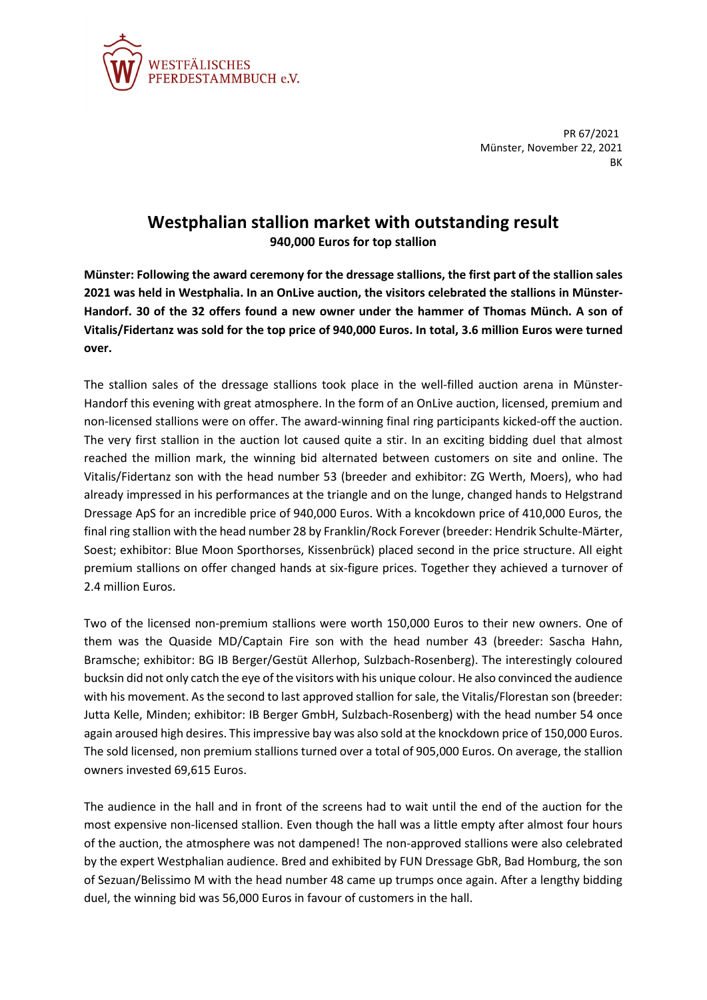

PR 67/2021 Münster, November 22, 2021 **BK** 

## **Westphalian stallion market with outstanding result**

**940,000 Euros for top stallion**

**Münster: Following the award ceremony for the dressage stallions, the first part of the stallion sales 2021 was held in Westphalia. In an OnLive auction, the visitors celebrated the stallions in Münster-Handorf. 30 of the 32 offers found a new owner under the hammer of Thomas Münch. A son of Vitalis/Fidertanz was sold for the top price of 940,000 Euros. In total, 3.6 million Euros were turned over.**

The stallion sales of the dressage stallions took place in the well-filled auction arena in Münster-Handorf this evening with great atmosphere. In the form of an OnLive auction, licensed, premium and non-licensed stallions were on offer. The award-winning final ring participants kicked-off the auction. The very first stallion in the auction lot caused quite a stir. In an exciting bidding duel that almost reached the million mark, the winning bid alternated between customers on site and online. The Vitalis/Fidertanz son with the head number 53 (breeder and exhibitor: ZG Werth, Moers), who had already impressed in his performances at the triangle and on the lunge, changed hands to Helgstrand Dressage ApS for an incredible price of 940,000 Euros. With a kncokdown price of 410,000 Euros, the final ring stallion with the head number 28 by Franklin/Rock Forever (breeder: Hendrik Schulte-Märter, Soest; exhibitor: Blue Moon Sporthorses, Kissenbrück) placed second in the price structure. All eight premium stallions on offer changed hands at six-figure prices. Together they achieved a turnover of 2.4 million Euros.

Two of the licensed non-premium stallions were worth 150,000 Euros to their new owners. One of them was the Quaside MD/Captain Fire son with the head number 43 (breeder: Sascha Hahn, Bramsche; exhibitor: BG IB Berger/Gestüt Allerhop, Sulzbach-Rosenberg). The interestingly coloured bucksin did not only catch the eye ofthe visitors with his unique colour. He also convinced the audience with his movement. As the second to last approved stallion for sale, the Vitalis/Florestan son (breeder: Jutta Kelle, Minden; exhibitor: IB Berger GmbH, Sulzbach-Rosenberg) with the head number 54 once again aroused high desires. This impressive bay was also sold at the knockdown price of 150,000 Euros. The sold licensed, non premium stallions turned over a total of 905,000 Euros. On average, the stallion owners invested 69,615 Euros.

The audience in the hall and in front of the screens had to wait until the end of the auction for the most expensive non-licensed stallion. Even though the hall was a little empty after almost four hours of the auction, the atmosphere was not dampened! The non-approved stallions were also celebrated by the expert Westphalian audience. Bred and exhibited by FUN Dressage GbR, Bad Homburg, the son of Sezuan/Belissimo M with the head number 48 came up trumps once again. After a lengthy bidding duel, the winning bid was 56,000 Euros in favour of customers in the hall.